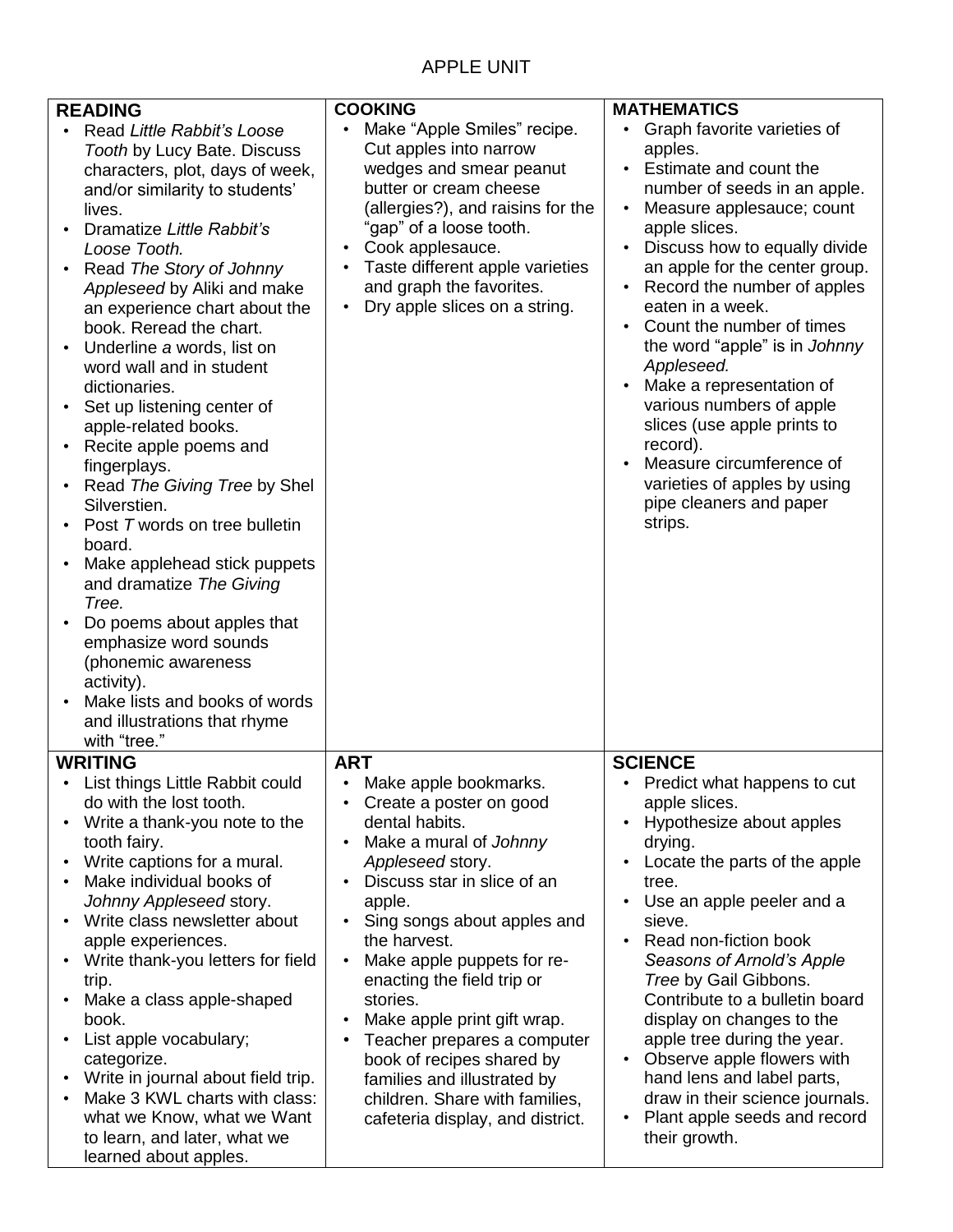## APPLE UNIT

| <b>READING</b><br>Read Little Rabbit's Loose<br>Tooth by Lucy Bate. Discuss<br>characters, plot, days of week,<br>and/or similarity to students'<br>lives.<br>Dramatize Little Rabbit's<br>Loose Tooth.<br>Read The Story of Johnny<br>Appleseed by Aliki and make<br>an experience chart about the<br>book. Reread the chart.<br>Underline a words, list on<br>word wall and in student<br>dictionaries.<br>Set up listening center of<br>apple-related books.<br>Recite apple poems and<br>fingerplays.<br>Read The Giving Tree by Shel<br>Silverstien.<br>Post T words on tree bulletin<br>board.<br>Make applehead stick puppets<br>and dramatize The Giving<br>Tree.<br>Do poems about apples that<br>emphasize word sounds<br>(phonemic awareness<br>activity).<br>Make lists and books of words<br>and illustrations that rhyme<br>with "tree." | <b>COOKING</b><br>Make "Apple Smiles" recipe.<br>Cut apples into narrow<br>wedges and smear peanut<br>butter or cream cheese<br>(allergies?), and raisins for the<br>"gap" of a loose tooth.<br>Cook applesauce.<br>$\bullet$<br>Taste different apple varieties<br>$\bullet$<br>and graph the favorites.<br>Dry apple slices on a string.<br>$\bullet$                                                                                                                                                                                                                         | <b>MATHEMATICS</b><br>Graph favorite varieties of<br>apples.<br>Estimate and count the<br>$\bullet$<br>number of seeds in an apple.<br>Measure applesauce; count<br>apple slices.<br>Discuss how to equally divide<br>an apple for the center group.<br>Record the number of apples<br>eaten in a week.<br>Count the number of times<br>the word "apple" is in Johnny<br>Appleseed.<br>Make a representation of<br>various numbers of apple<br>slices (use apple prints to<br>record).<br>Measure circumference of<br>varieties of apples by using<br>pipe cleaners and paper<br>strips. |
|--------------------------------------------------------------------------------------------------------------------------------------------------------------------------------------------------------------------------------------------------------------------------------------------------------------------------------------------------------------------------------------------------------------------------------------------------------------------------------------------------------------------------------------------------------------------------------------------------------------------------------------------------------------------------------------------------------------------------------------------------------------------------------------------------------------------------------------------------------|---------------------------------------------------------------------------------------------------------------------------------------------------------------------------------------------------------------------------------------------------------------------------------------------------------------------------------------------------------------------------------------------------------------------------------------------------------------------------------------------------------------------------------------------------------------------------------|------------------------------------------------------------------------------------------------------------------------------------------------------------------------------------------------------------------------------------------------------------------------------------------------------------------------------------------------------------------------------------------------------------------------------------------------------------------------------------------------------------------------------------------------------------------------------------------|
| <b>WRITING</b>                                                                                                                                                                                                                                                                                                                                                                                                                                                                                                                                                                                                                                                                                                                                                                                                                                         | <b>ART</b>                                                                                                                                                                                                                                                                                                                                                                                                                                                                                                                                                                      | <b>SCIENCE</b>                                                                                                                                                                                                                                                                                                                                                                                                                                                                                                                                                                           |
| List things Little Rabbit could<br>do with the lost tooth.<br>Write a thank-you note to the<br>tooth fairy.<br>Write captions for a mural.<br>Make individual books of<br>Johnny Appleseed story.<br>Write class newsletter about<br>apple experiences.<br>Write thank-you letters for field<br>trip.<br>Make a class apple-shaped<br>book.<br>List apple vocabulary;<br>categorize.<br>Write in journal about field trip.<br>Make 3 KWL charts with class:<br>what we Know, what we Want<br>to learn, and later, what we<br>learned about apples.                                                                                                                                                                                                                                                                                                     | Make apple bookmarks<br>٠<br>Create a poster on good<br>$\bullet$<br>dental habits.<br>Make a mural of Johnny<br>$\bullet$<br>Appleseed story.<br>Discuss star in slice of an<br>$\bullet$<br>apple.<br>Sing songs about apples and<br>$\bullet$<br>the harvest.<br>Make apple puppets for re-<br>$\bullet$<br>enacting the field trip or<br>stories.<br>Make apple print gift wrap.<br>$\bullet$<br>Teacher prepares a computer<br>$\bullet$<br>book of recipes shared by<br>families and illustrated by<br>children. Share with families,<br>cafeteria display, and district. | Predict what happens to cut<br>apple slices.<br>Hypothesize about apples<br>drying.<br>Locate the parts of the apple<br>tree.<br>Use an apple peeler and a<br>sieve.<br>Read non-fiction book<br>Seasons of Arnold's Apple<br>Tree by Gail Gibbons.<br>Contribute to a bulletin board<br>display on changes to the<br>apple tree during the year.<br>Observe apple flowers with<br>$\bullet$<br>hand lens and label parts,<br>draw in their science journals.<br>Plant apple seeds and record<br>their growth.                                                                           |